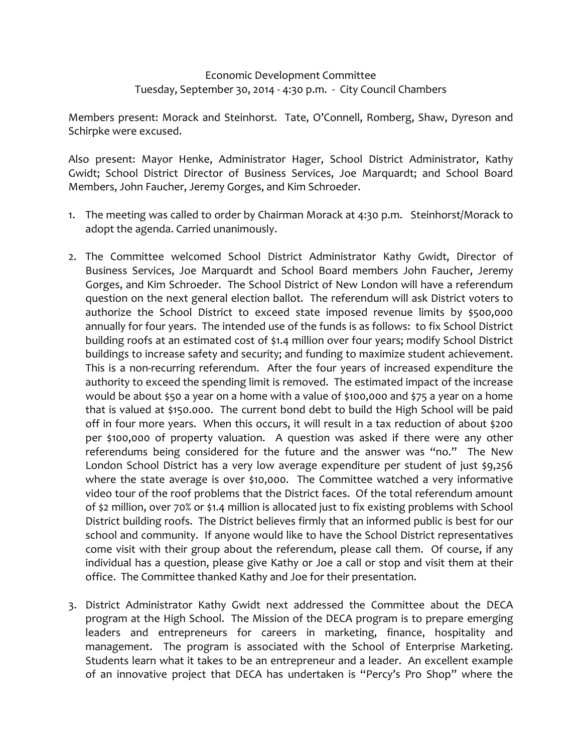## Economic Development Committee Tuesday, September 30, 2014 ‐ 4:30 p.m. ‐ City Council Chambers

Members present: Morack and Steinhorst. Tate, O'Connell, Romberg, Shaw, Dyreson and Schirpke were excused.

Also present: Mayor Henke, Administrator Hager, School District Administrator, Kathy Gwidt; School District Director of Business Services, Joe Marquardt; and School Board Members, John Faucher, Jeremy Gorges, and Kim Schroeder.

- 1. The meeting was called to order by Chairman Morack at 4:30 p.m. Steinhorst/Morack to adopt the agenda. Carried unanimously.
- 2. The Committee welcomed School District Administrator Kathy Gwidt, Director of Business Services, Joe Marquardt and School Board members John Faucher, Jeremy Gorges, and Kim Schroeder. The School District of New London will have a referendum question on the next general election ballot. The referendum will ask District voters to authorize the School District to exceed state imposed revenue limits by \$500,000 annually for four years. The intended use of the funds is as follows: to fix School District building roofs at an estimated cost of \$1.4 million over four years; modify School District buildings to increase safety and security; and funding to maximize student achievement. This is a non-recurring referendum. After the four years of increased expenditure the authority to exceed the spending limit is removed. The estimated impact of the increase would be about \$50 a year on a home with a value of \$100,000 and \$75 a year on a home that is valued at \$150.000. The current bond debt to build the High School will be paid off in four more years. When this occurs, it will result in a tax reduction of about \$200 per \$100,000 of property valuation. A question was asked if there were any other referendums being considered for the future and the answer was "no." The New London School District has a very low average expenditure per student of just \$9,256 where the state average is over \$10,000. The Committee watched a very informative video tour of the roof problems that the District faces. Of the total referendum amount of \$2 million, over 70% or \$1.4 million is allocated just to fix existing problems with School District building roofs. The District believes firmly that an informed public is best for our school and community. If anyone would like to have the School District representatives come visit with their group about the referendum, please call them. Of course, if any individual has a question, please give Kathy or Joe a call or stop and visit them at their office. The Committee thanked Kathy and Joe for their presentation.
- 3. District Administrator Kathy Gwidt next addressed the Committee about the DECA program at the High School. The Mission of the DECA program is to prepare emerging leaders and entrepreneurs for careers in marketing, finance, hospitality and management. The program is associated with the School of Enterprise Marketing. Students learn what it takes to be an entrepreneur and a leader. An excellent example of an innovative project that DECA has undertaken is "Percy's Pro Shop" where the